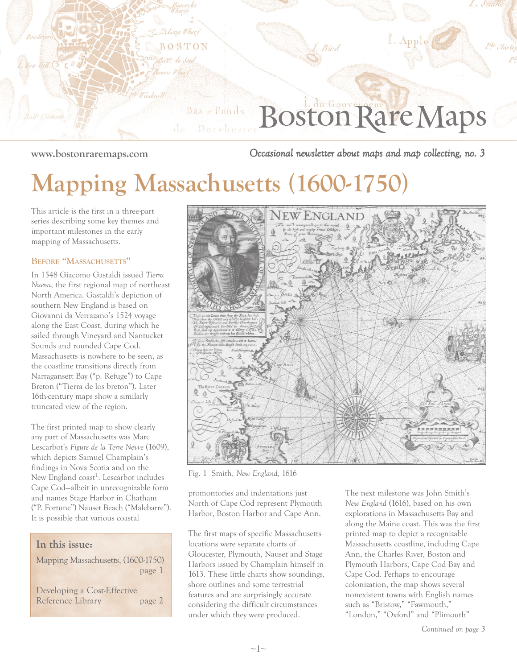

**www.bostonraremaps.com** *Occasional newsletter about maps and map collecting, no. 3*

## **Mapping Massachusetts (1600-1750)**

This article is the first in a three-part series describing some key themes and important milestones in the early mapping of Massachusetts.

#### **BEFORE "MASSACHUSETTS"**

In 1548 Giacomo Gastaldi issued *Tierra Nueva*, the first regional map of northeast North America. Gastaldi's depiction of southern New England is based on Giovanni da Verrazano's 1524 voyage along the East Coast, during which he sailed through Vineyard and Nantucket Sounds and rounded Cape Cod. Massachusetts is nowhere to be seen, as the coastline transitions directly from Narragansett Bay ("p. Refuge") to Cape Breton ("Tierra de los breton"). Later 16th-century maps show a similarly truncated view of the region.

The first printed map to show clearly any part of Massachusetts was Marc Lescarbot's *Figure de la Terre Nevve* (1609), which depicts Samuel Champlain's findings in Nova Scotia and on the New England coast<sup>1</sup>. Lescarbot includes Cape Cod—albeit in unrecognizable form and names Stage Harbor in Chatham ("P. Fortune") Nauset Beach ("Malebarre"). It is possible that various coastal

### **In this issue:** Mapping Massachusetts, (1600-1750)

Developing a Cost-Effective Reference Library page 2

page 1



Fig. 1 Smith, *New England,* 1616

promontories and indentations just North of Cape Cod represent Plymouth Harbor, Boston Harbor and Cape Ann.

The first maps of specific Massachusetts locations were separate charts of Gloucester, Plymouth, Nauset and Stage Harbors issued by Champlain himself in 1613. These little charts show soundings, shore outlines and some terrestrial features and are surprisingly accurate considering the difficult circumstances under which they were produced.

The next milestone was John Smith's *New England* (1616), based on his own explorations in Massachusetts Bay and along the Maine coast. This was the first printed map to depict a recognizable Massachusetts coastline, including Cape Ann, the Charles River, Boston and Plymouth Harbors, Cape Cod Bay and Cape Cod. Perhaps to encourage colonization, the map shows several nonexistent towns with English names such as "Bristow," "Fawmouth," "London," "Oxford" and "Plimouth"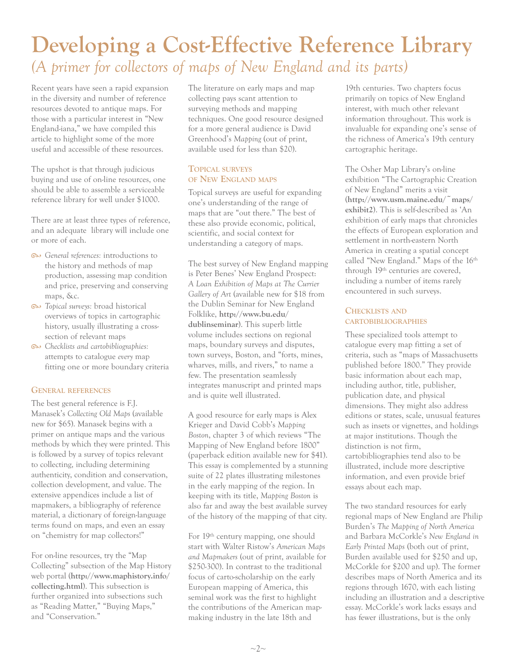### **Developing a Cost-Effective Reference Library** *(A primer for collectors of maps of New England and its parts)*

Recent years have seen a rapid expansion in the diversity and number of reference resources devoted to antique maps. For those with a particular interest in "New England-iana," we have compiled this article to highlight some of the more useful and accessible of these resources.

The upshot is that through judicious buying and use of on-line resources, one should be able to assemble a serviceable reference library for well under \$1000.

There are at least three types of reference, and an adequate library will include one or more of each.

- *General references:* introductions to the history and methods of map production, assessing map condition and price, preserving and conserving maps, &c.
- *Topical surveys:* broad historical overviews of topics in cartographic history, usually illustrating a crosssection of relevant maps
- *Checklists and cartobibliographies:* attempts to catalogue *every* map fitting one or more boundary criteria

#### **GENERAL REFERENCES**

The best general reference is F.J. Manasek's *Collecting Old Maps* (available new for \$65). Manasek begins with a primer on antique maps and the various methods by which they were printed. This is followed by a survey of topics relevant to collecting, including determining authenticity, condition and conservation, collection development, and value. The extensive appendices include a list of mapmakers, a bibliography of reference material, a dictionary of foreign-language terms found on maps, and even an essay on "chemistry for map collectors!"

For on-line resources, try the "Map Collecting" subsection of the Map History web portal (**http://www.maphistory.info/ collecting.html**). This subsection is further organized into subsections such as "Reading Matter," "Buying Maps," and "Conservation."

The literature on early maps and map collecting pays scant attention to surveying methods and mapping techniques. One good resource designed for a more general audience is David Greenhood's *Mapping* (out of print, available used for less than \$20).

#### **TOPICAL SURVEYS OF NEW ENGLAND MAPS**

Topical surveys are useful for expanding one's understanding of the range of maps that are "out there." The best of these also provide economic, political, scientific, and social context for understanding a category of maps.

The best survey of New England mapping is Peter Benes' New England Prospect: *A Loan Exhibition of Maps at The Currier Gallery of Art* (available new for \$18 from the Dublin Seminar for New England Folklike, **http://www.bu.edu/ dublinseminar**). This superb little volume includes sections on regional maps, boundary surveys and disputes, town surveys, Boston, and "forts, mines, wharves, mills, and rivers," to name a few. The presentation seamlessly integrates manuscript and printed maps and is quite well illustrated.

A good resource for early maps is Alex Krieger and David Cobb's *Mapping Boston*, chapter 3 of which reviews "The Mapping of New England before 1800" (paperback edition available new for \$41). This essay is complemented by a stunning suite of 22 plates illustrating milestones in the early mapping of the region. In keeping with its title, *Mapping Boston* is also far and away the best available survey of the history of the mapping of that city.

For 19<sup>th</sup> century mapping, one should start with Walter Ristow's *American Maps and Mapmakers* (out of print, available for \$250-300). In contrast to the traditional focus of carto-scholarship on the early European mapping of America, this seminal work was the first to highlight the contributions of the American mapmaking industry in the late 18th and

19th centuries. Two chapters focus primarily on topics of New England interest, with much other relevant information throughout. This work is invaluable for expanding one's sense of the richness of America's 19th century cartographic heritage.

The Osher Map Library's on-line exhibition "The Cartographic Creation of New England" merits a visit (**http://www.usm.maine.edu/~maps/ exhibit2**). This is self-described as 'An exhibition of early maps that chronicles the effects of European exploration and settlement in north-eastern North America in creating a spatial concept called "New England." Maps of the 16<sup>th</sup> through 19th centuries are covered, including a number of items rarely encountered in such surveys.

#### **CHECKLISTS AND CARTOBIBLIOGRAPHIES**

These specialized tools attempt to catalogue every map fitting a set of criteria, such as "maps of Massachusetts published before 1800." They provide basic information about each map, including author, title, publisher, publication date, and physical dimensions. They might also address editions or states, scale, unusual features such as insets or vignettes, and holdings at major institutions. Though the distinction is not firm, cartobibliographies tend also to be illustrated, include more descriptive information, and even provide brief essays about each map.

The two standard resources for early regional maps of New England are Philip Burden's *The Mapping of North America* and Barbara McCorkle's *New England in Early Printed Maps* (both out of print, Burden available used for \$250 and up, McCorkle for \$200 and up). The former describes maps of North America and its regions through 1670, with each listing including an illustration and a descriptive essay. McCorkle's work lacks essays and has fewer illustrations, but is the only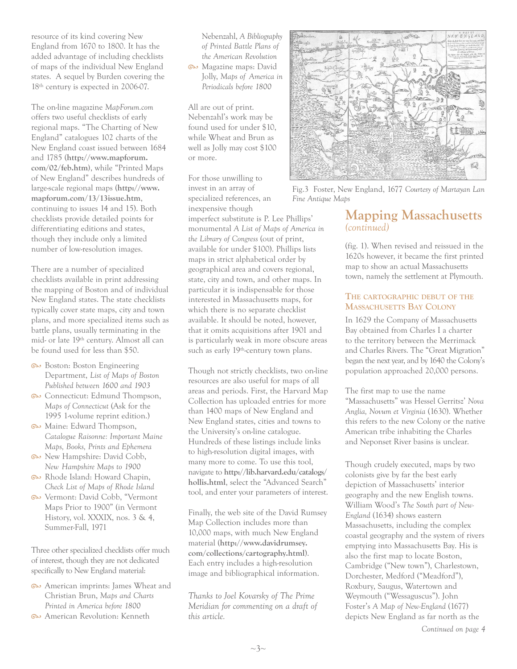resource of its kind covering New England from 1670 to 1800. It has the added advantage of including checklists of maps of the individual New England states. A sequel by Burden covering the 18<sup>th</sup> century is expected in 2006-07.

The on-line magazine *MapForum.com* offers two useful checklists of early regional maps. "The Charting of New England" catalogues 102 charts of the New England coast issued between 1684 and 1785 (**http://www.mapforum. com/02/feb.htm)**, while "Printed Maps of New England" describes hundreds of large-scale regional maps (**http://www. mapforum.com/13/13issue.htm**, continuing to issues 14 and 15). Both checklists provide detailed points for differentiating editions and states, though they include only a limited number of low-resolution images.

There are a number of specialized checklists available in print addressing the mapping of Boston and of individual New England states. The state checklists typically cover state maps, city and town plans, and more specialized items such as battle plans, usually terminating in the mid- or late 19th century. Almost all can be found used for less than \$50.

- Boston: Boston Engineering Department, *List of Maps of Boston Published between 1600 and 1903*
- $\infty$  Connecticut: Edmund Thompson, *Maps of Connecticut* (Ask for the 1995 1-volume reprint edition.)
- Maine: Edward Thompson, *Catalogue Raisonne: Important Maine Maps, Books, Prints and Ephemera*
- New Hampshire: David Cobb, *New Hampshire Maps to 1900*
- Rhode Island: Howard Chapin, *Check List of Maps of Rhode Island*
- Vermont: David Cobb, "Vermont Maps Prior to 1900" (in Vermont History, vol. XXXIX, nos. 3 & 4, Summer-Fall, 1971

Three other specialized checklists offer much of interest, though they are not dedicated specifically to New England material:

- **American imprints: James Wheat and** Christian Brun, *Maps and Charts Printed in America before 1800*
- **American Revolution: Kenneth**

Nebenzahl, *A Bibliography of Printed Battle Plans of the American Revolution* Magazine maps: David Jolly, *Maps of America in Periodicals before 1800*

All are out of print. Nebenzahl's work may be found used for under \$10, while Wheat and Brun as well as Jolly may cost \$100 or more.

For those unwilling to invest in an array of specialized references, an inexpensive though

imperfect substitute is P. Lee Phillips' monumental *A List of Maps of America in the Library of Congress* (out of print, available for under \$100). Phillips lists maps in strict alphabetical order by geographical area and covers regional, state, city and town, and other maps. In particular it is indispensable for those interested in Massachusetts maps, for which there is no separate checklist available. It should be noted, however, that it omits acquisitions after 1901 and is particularly weak in more obscure areas such as early 19<sup>th</sup>-century town plans.

Though not strictly checklists, two on-line resources are also useful for maps of all areas and periods. First, the Harvard Map Collection has uploaded entries for more than 1400 maps of New England and New England states, cities and towns to the University's on-line catalogue. Hundreds of these listings include links to high-resolution digital images, with many more to come. To use this tool, navigate to **http://lib.harvard.edu/catalogs/ hollis.html**, select the "Advanced Search" tool, and enter your parameters of interest.

Finally, the web site of the David Rumsey Map Collection includes more than 10,000 maps, with much New England material (**http://www.davidrumsey. com/collections/cartography.html**). Each entry includes a high-resolution image and bibliographical information.

*Thanks to Joel Kovarsky of The Prime Meridian for commenting on a draft of this article.* 



Fig.3 Foster, New England, 1677 *Courtesy of Martayan Lan Fine Antique Maps*

#### **Mapping Massachusetts** *(continued)*

(fig. 1). When revised and reissued in the 1620s however, it became the first printed map to show an actual Massachusetts town, namely the settlement at Plymouth.

#### **THE CARTOGRAPHIC DEBUT OF THE MASSACHUSETTS BAY COLONY**

In 1629 the Company of Massachusetts Bay obtained from Charles I a charter to the territory between the Merrimack and Charles Rivers. The "Great Migration" began the next year, and by 1640 the Colony's population approached 20,000 persons.

The first map to use the name "Massachusetts" was Hessel Gerritsz' *Nova Anglia, Novum et Virginia* (1630). Whether this refers to the new Colony or the native American tribe inhabiting the Charles and Neponset River basins is unclear.

Though crudely executed, maps by two colonists give by far the best early depiction of Massachusetts' interior geography and the new English towns. William Wood's *The South part of New-England* (1634) shows eastern Massachusetts, including the complex coastal geography and the system of rivers emptying into Massachusetts Bay. His is also the first map to locate Boston, Cambridge ("New town"), Charlestown, Dorchester, Medford ("Meadford"), Roxbury, Saugus, Watertown and Weymouth ("Wessaguscus"). John Foster's *A Map of New-England* (1677) depicts New England as far north as the